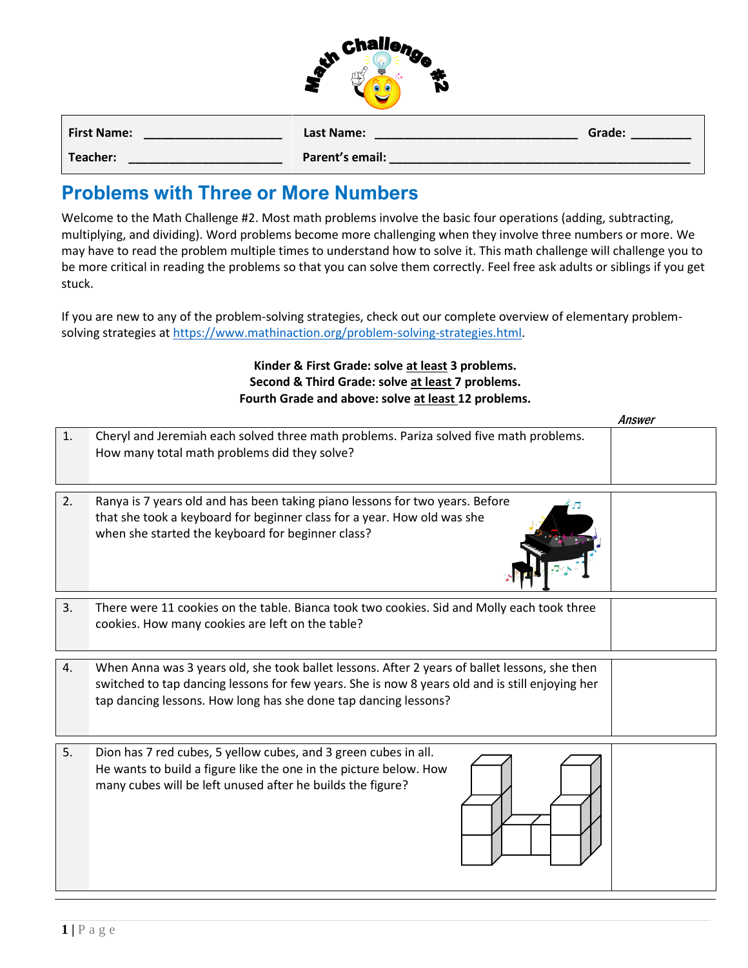|   | Challenge |  |
|---|-----------|--|
| ソ |           |  |
|   |           |  |

| <b>First Name:</b> | Last Name:      | Grade: |
|--------------------|-----------------|--------|
| Teacher:           | Parent's email: |        |

## **Problems with Three or More Numbers**

Welcome to the Math Challenge #2. Most math problems involve the basic four operations (adding, subtracting, multiplying, and dividing). Word problems become more challenging when they involve three numbers or more. We may have to read the problem multiple times to understand how to solve it. This math challenge will challenge you to be more critical in reading the problems so that you can solve them correctly. Feel free ask adults or siblings if you get stuck.

If you are new to any of the problem-solving strategies, check out our complete overview of elementary problemsolving strategies a[t https://www.mathinaction.org/problem-solving-strategies.html.](https://www.mathinaction.org/problem-solving-strategies.html)

> **Kinder & First Grade: solve at least 3 problems. Second & Third Grade: solve at least 7 problems. Fourth Grade and above: solve at least 12 problems.**

|    |                                                                                                                                                                                                                                                                     | Answer |
|----|---------------------------------------------------------------------------------------------------------------------------------------------------------------------------------------------------------------------------------------------------------------------|--------|
| 1. | Cheryl and Jeremiah each solved three math problems. Pariza solved five math problems.<br>How many total math problems did they solve?                                                                                                                              |        |
| 2. | Ranya is 7 years old and has been taking piano lessons for two years. Before<br>that she took a keyboard for beginner class for a year. How old was she<br>when she started the keyboard for beginner class?                                                        |        |
| 3. | There were 11 cookies on the table. Bianca took two cookies. Sid and Molly each took three<br>cookies. How many cookies are left on the table?                                                                                                                      |        |
| 4. | When Anna was 3 years old, she took ballet lessons. After 2 years of ballet lessons, she then<br>switched to tap dancing lessons for few years. She is now 8 years old and is still enjoying her<br>tap dancing lessons. How long has she done tap dancing lessons? |        |
| 5. | Dion has 7 red cubes, 5 yellow cubes, and 3 green cubes in all.<br>He wants to build a figure like the one in the picture below. How<br>many cubes will be left unused after he builds the figure?                                                                  |        |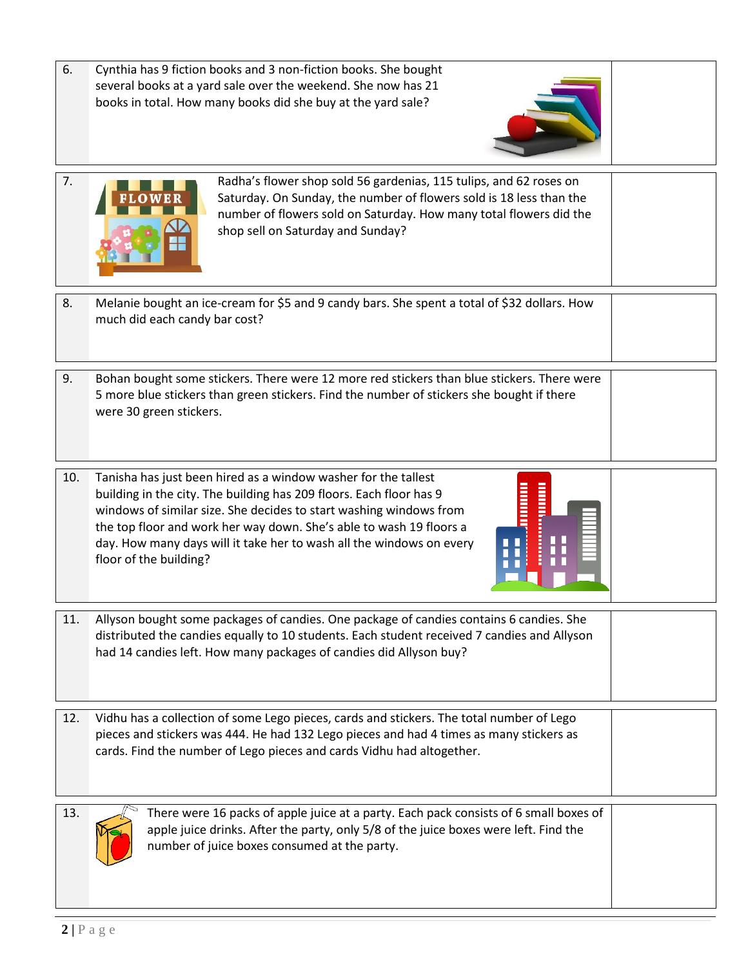6. Cynthia has 9 fiction books and 3 non-fiction books. She bought several books at a yard sale over the weekend. She now has 21 books in total. How many books did she buy at the yard sale?





7. **The solution of the Radha's flower shop sold 56 gardenias, 115 tulips, and 62 roses on** Saturday. On Sunday, the number of flowers sold is 18 less than the number of flowers sold on Saturday. How many total flowers did the shop sell on Saturday and Sunday?

- 8. Melanie bought an ice-cream for \$5 and 9 candy bars. She spent a total of \$32 dollars. How much did each candy bar cost?
- 9. Bohan bought some stickers. There were 12 more red stickers than blue stickers. There were 5 more blue stickers than green stickers. Find the number of stickers she bought if there were 30 green stickers.
- 10. Tanisha has just been hired as a window washer for the tallest building in the city. The building has 209 floors. Each floor has 9 windows of similar size. She decides to start washing windows from the top floor and work her way down. She's able to wash 19 floors a day. How many days will it take her to wash all the windows on every floor of the building?



- 11. Allyson bought some packages of candies. One package of candies contains 6 candies. She distributed the candies equally to 10 students. Each student received 7 candies and Allyson had 14 candies left. How many packages of candies did Allyson buy?
- 12. Vidhu has a collection of some Lego pieces, cards and stickers. The total number of Lego pieces and stickers was 444. He had 132 Lego pieces and had 4 times as many stickers as cards. Find the number of Lego pieces and cards Vidhu had altogether.



13. There were 16 packs of apple juice at a party. Each pack consists of 6 small boxes of apple juice drinks. After the party, only 5/8 of the juice boxes were left. Find the number of juice boxes consumed at the party.